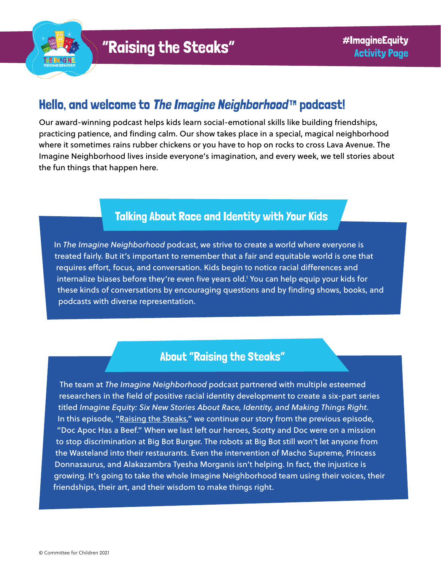

# Hello, and welcome to [The Imagine Neighborhood](https://www.imagineneighborhood.org/)™ podcast!

Our award-winning podcast helps kids learn social-emotional skills like building friendships, practicing patience, and finding calm. Our show takes place in a special, magical neighborhood where it sometimes rains rubber chickens or you have to hop on rocks to cross Lava Avenue. The Imagine Neighborhood lives inside everyone's imagination, and every week, we tell stories about the fun things that happen here.

### Talking About Race and Identity with Your Kids

In *The Imagine Neighborhood* podcast, we strive to create a world where everyone is treated fairly. But it's important to remember that a fair and equitable world is one that requires effort, focus, and conversation. Kids begin to notice racial differences and internalize biases before they're even five years old.1 You can help equip your kids for these kinds of conversations by encouraging questions and by finding shows, books, and podcasts with diverse representation.

### About "Raising the Steaks"

The team at *The Imagine Neighborhood* podcast partnered with multiple esteemed researchers in the field of positive racial identity development to create a six-part series titled *Imagine Equity: Six New Stories About Race, Identity, and Making Things Right*. In this episode, ["Raising the Steaks](https://www.imagineneighborhood.org/imagineequity)," we continue our story from the previous episode, "Doc Apoc Has a Beef." When we last left our heroes, Scotty and Doc were on a mission to stop discrimination at Big Bot Burger. The robots at Big Bot still won't let anyone from the Wasteland into their restaurants. Even the intervention of Macho Supreme, Princess Donnasaurus, and Alakazambra Tyesha Morganis isn't helping. In fact, the injustice is growing. It's going to take the whole Imagine Neighborhood team using their voices, their friendships, their art, and their wisdom to make things right.